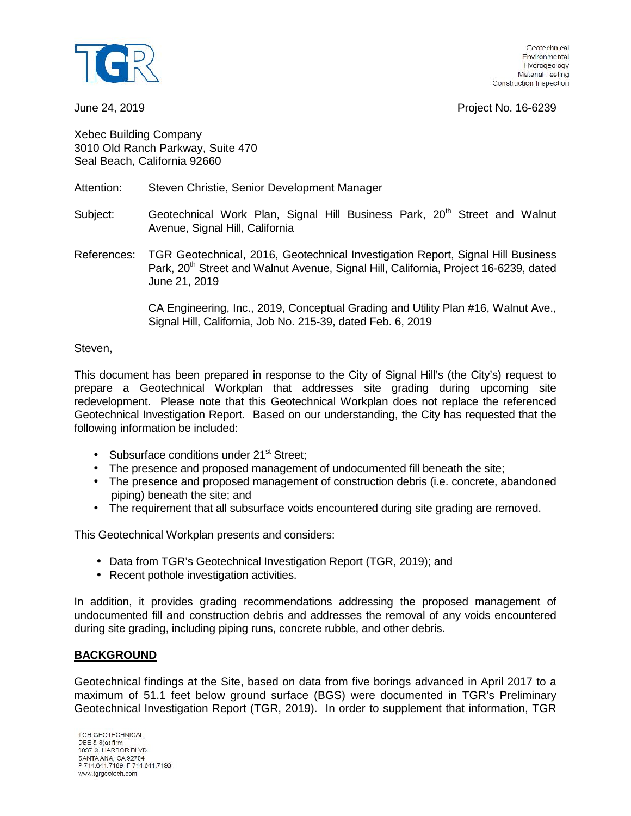

June 24, 2019 Project No. 16-6239

Xebec Building Company 3010 Old Ranch Parkway, Suite 470 Seal Beach, California 92660

## Attention: Steven Christie, Senior Development Manager

Subject: Geotechnical Work Plan, Signal Hill Business Park, 20<sup>th</sup> Street and Walnut Avenue, Signal Hill, California

References: TGR Geotechnical, 2016, Geotechnical Investigation Report, Signal Hill Business Park, 20<sup>th</sup> Street and Walnut Avenue, Signal Hill, California, Project 16-6239, dated June 21, 2019

> CA Engineering, Inc., 2019, Conceptual Grading and Utility Plan #16, Walnut Ave., Signal Hill, California, Job No. 215-39, dated Feb. 6, 2019

## Steven,

This document has been prepared in response to the City of Signal Hill's (the City's) request to prepare a Geotechnical Workplan that addresses site grading during upcoming site redevelopment. Please note that this Geotechnical Workplan does not replace the referenced Geotechnical Investigation Report. Based on our understanding, the City has requested that the following information be included:

- Subsurface conditions under  $21<sup>st</sup>$  Street:
- The presence and proposed management of undocumented fill beneath the site;
- The presence and proposed management of construction debris (i.e. concrete, abandoned piping) beneath the site; and
- The requirement that all subsurface voids encountered during site grading are removed.

This Geotechnical Workplan presents and considers:

- Data from TGR's Geotechnical Investigation Report (TGR, 2019); and
- Recent pothole investigation activities.

In addition, it provides grading recommendations addressing the proposed management of undocumented fill and construction debris and addresses the removal of any voids encountered during site grading, including piping runs, concrete rubble, and other debris.

## **BACKGROUND**

Geotechnical findings at the Site, based on data from five borings advanced in April 2017 to a maximum of 51.1 feet below ground surface (BGS) were documented in TGR's Preliminary Geotechnical Investigation Report (TGR, 2019). In order to supplement that information, TGR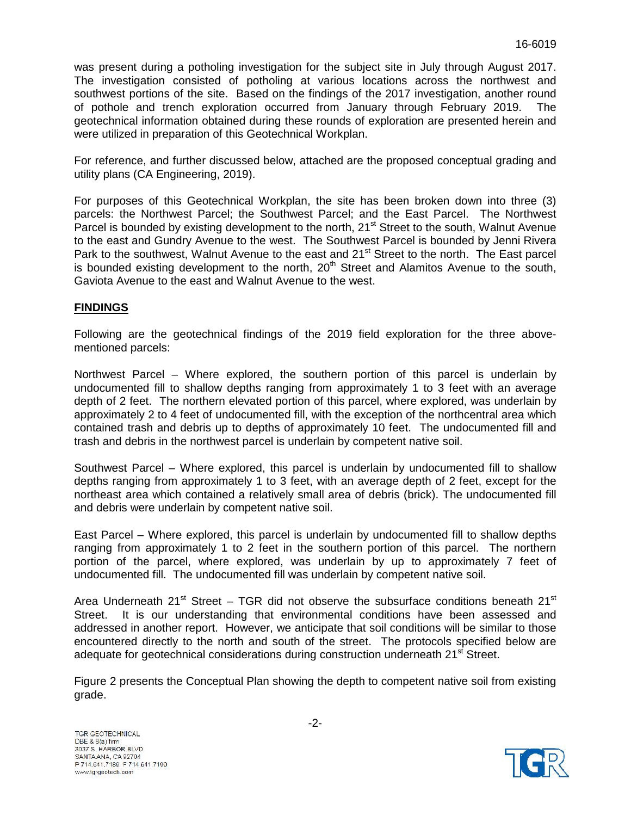was present during a potholing investigation for the subject site in July through August 2017. The investigation consisted of potholing at various locations across the northwest and southwest portions of the site. Based on the findings of the 2017 investigation, another round of pothole and trench exploration occurred from January through February 2019. The geotechnical information obtained during these rounds of exploration are presented herein and were utilized in preparation of this Geotechnical Workplan.

For reference, and further discussed below, attached are the proposed conceptual grading and utility plans (CA Engineering, 2019).

For purposes of this Geotechnical Workplan, the site has been broken down into three (3) parcels: the Northwest Parcel; the Southwest Parcel; and the East Parcel. The Northwest Parcel is bounded by existing development to the north, 21<sup>st</sup> Street to the south, Walnut Avenue to the east and Gundry Avenue to the west. The Southwest Parcel is bounded by Jenni Rivera Park to the southwest, Walnut Avenue to the east and 21<sup>st</sup> Street to the north. The East parcel is bounded existing development to the north,  $20<sup>th</sup>$  Street and Alamitos Avenue to the south, Gaviota Avenue to the east and Walnut Avenue to the west.

# **FINDINGS**

Following are the geotechnical findings of the 2019 field exploration for the three above mentioned parcels:

Northwest Parcel – Where explored, the southern portion of this parcel is underlain by undocumented fill to shallow depths ranging from approximately 1 to 3 feet with an average depth of 2 feet. The northern elevated portion of this parcel, where explored, was underlain by approximately 2 to 4 feet of undocumented fill, with the exception of the northcentral area which contained trash and debris up to depths of approximately 10 feet. The undocumented fill and trash and debris in the northwest parcel is underlain by competent native soil.

Southwest Parcel – Where explored, this parcel is underlain by undocumented fill to shallow depths ranging from approximately 1 to 3 feet, with an average depth of 2 feet, except for the northeast area which contained a relatively small area of debris (brick). The undocumented fill and debris were underlain by competent native soil.<br>East Parcel – Where explored, this parcel is underlain by undocumented fill to shallow depths

ranging from approximately 1 to 2 feet in the southern portion of this parcel. The northern portion of the parcel, where explored, was underlain by up to approximately 7 feet of undocumented fill. The undocumented fill was underlain by competent native soil.

Area Underneath 21 $st$  Street – TGR did not observe the subsurface conditions beneath 21 $st$ Street. It is our understanding that environmental conditions have been assessed and addressed in another report. However, we anticipate that soil conditions will be similar to those encountered directly to the north and south of the street. The protocols specified below are adequate for geotechnical considerations during construction underneath 21<sup>st</sup> Street.

Figure 2 presents the Conceptual Plan showing the depth to competent native soil from existing grade.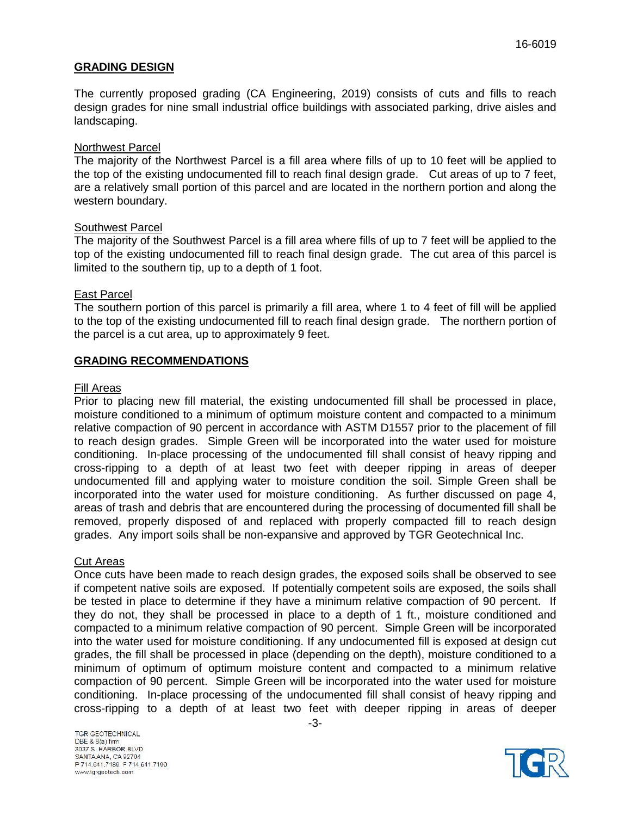## **GRADING DESIGN**

The currently proposed grading (CA Engineering, 2019) consists of cuts and fills to reach design grades for nine small industrial office buildings with associated parking, drive aisles and landscaping.

## Northwest Parcel

The majority of the Northwest Parcel is a fill area where fills of up to 10 feet will be applied to the top of the existing undocumented fill to reach final design grade. Cut areas of up to 7 feet, are a relatively small portion of this parcel and are located in the northern portion and along the western boundary.

#### Southwest Parcel

The majority of the Southwest Parcel is a fill area where fills of up to 7 feet will be applied to the top of the existing undocumented fill to reach final design grade. The cut area of this parcel is limited to the southern tip, up to a depth of 1 foot.

## East Parcel

The southern portion of this parcel is primarily a fill area, where 1 to 4 feet of fill will be applied to the top of the existing undocumented fill to reach final design grade. The northern portion of the parcel is a cut area, up to approximately 9 feet.

#### **GRADING RECOMMENDATIONS**

#### Fill Areas

Prior to placing new fill material, the existing undocumented fill shall be processed in place, moisture conditioned to a minimum of optimum moisture content and compacted to a minimum relative compaction of 90 percent in accordance with ASTM D1557 prior to the placement of fill to reach design grades. Simple Green will be incorporated into the water used for moisture conditioning. In-place processing of the undocumented fill shall consist of heavy ripping and cross-ripping to a depth of at least two feet with deeper ripping in areas of deeper undocumented fill and applying water to moisture condition the soil. Simple Green shall be incorporated into the water used for moisture conditioning. As further discussed on page 4, areas of trash and debris that are encountered during the processing of documented fill shall be removed, properly disposed of and replaced with properly compacted fill to reach design grades. Any import soils shall be non-expansive and approved by TGR Geotechnical Inc.

#### Cut Areas

Once cuts have been made to reach design grades, the exposed soils shall be observed to see if competent native soils are exposed. If potentially competent soils are exposed, the soils shall be tested in place to determine if they have a minimum relative compaction of 90 percent. If they do not, they shall be processed in place to a depth of 1 ft., moisture conditioned and compacted to a minimum relative compaction of 90 percent. Simple Green will be incorporated into the water used for moisture conditioning. If any undocumented fill is exposed at design cut grades, the fill shall be processed in place (depending on the depth), moisture conditioned to a minimum of optimum of optimum moisture content and compacted to a minimum relative compaction of 90 percent. Simple Green will be incorporated into the water used for moisture conditioning. In-place processing of the undocumented fill shall consist of heavy ripping and cross-ripping to a depth of at least two feet with deeper ripping in areas of deeper

TGR GEOTECHNICAL DBE & 8(a) firm 3037 S. HARBOR BLVD SANTA ANA, CA 92704 P 714.641.7189 F 714.641.7190 www.tgrgeotech.com

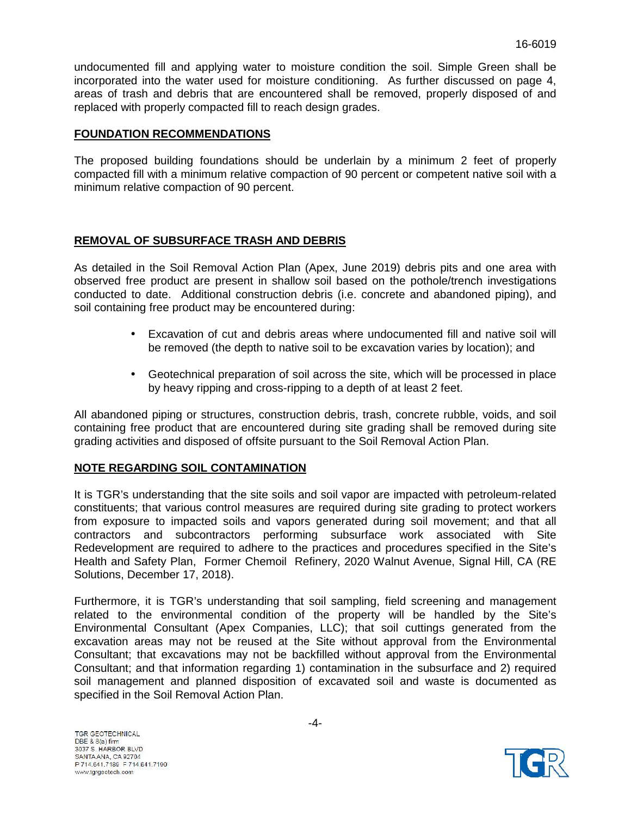undocumented fill and applying water to moisture condition the soil. Simple Green shall be incorporated into the water used for moisture conditioning. As further discussed on page 4, areas of trash and debris that are encountered shall be removed, properly disposed of and replaced with properly compacted fill to reach design grades.

## **FOUNDATION RECOMMENDATIONS**

The proposed building foundations should be underlain by a minimum 2 feet of properly compacted fill with a minimum relative compaction of 90 percent or competent native soil with a minimum relative compaction of 90 percent.

## **REMOVAL OF SUBSURFACE TRASH AND DEBRIS**

As detailed in the Soil Removal Action Plan (Apex, June 2019) debris pits and one area with observed free product are present in shallow soil based on the pothole/trench investigations conducted to date. Additional construction debris (i.e. concrete and abandoned piping), and soil containing free product may be encountered during:

- Excavation of cut and debris areas where undocumented fill and native soil will be removed (the depth to native soil to be excavation varies by location); and
- Geotechnical preparation of soil across the site, which will be processed in place by heavy ripping and cross-ripping to a depth of at least 2 feet.

All abandoned piping or structures, construction debris, trash, concrete rubble, voids, and soil containing free product that are encountered during site grading shall be removed during site grading activities and disposed of offsite pursuant to the Soil Removal Action Plan.

## **NOTE REGARDING SOIL CONTAMINATION**

It is TGR's understanding that the site soils and soil vapor are impacted with petroleum-related constituents; that various control measures are required during site grading to protect workers from exposure to impacted soils and vapors generated during soil movement; and that all contractors and subcontractors performing subsurface work associated with Site Redevelopment are required to adhere to the practices and procedures specified in the Site's Health and Safety Plan, Former Chemoil Refinery, 2020 Walnut Avenue, Signal Hill, CA (RE Solutions, December 17, 2018).

Furthermore, it is TGR's understanding that soil sampling, field screening and management related to the environmental condition of the property will be handled by the Site's Environmental Consultant (Apex Companies, LLC); that soil cuttings generated from the excavation areas may not be reused at the Site without approval from the Environmental Consultant; that excavations may not be backfilled without approval from the Environmental Consultant; and that information regarding 1) contamination in the subsurface and 2) required soil management and planned disposition of excavated soil and waste is documented as specified in the Soil Removal Action Plan.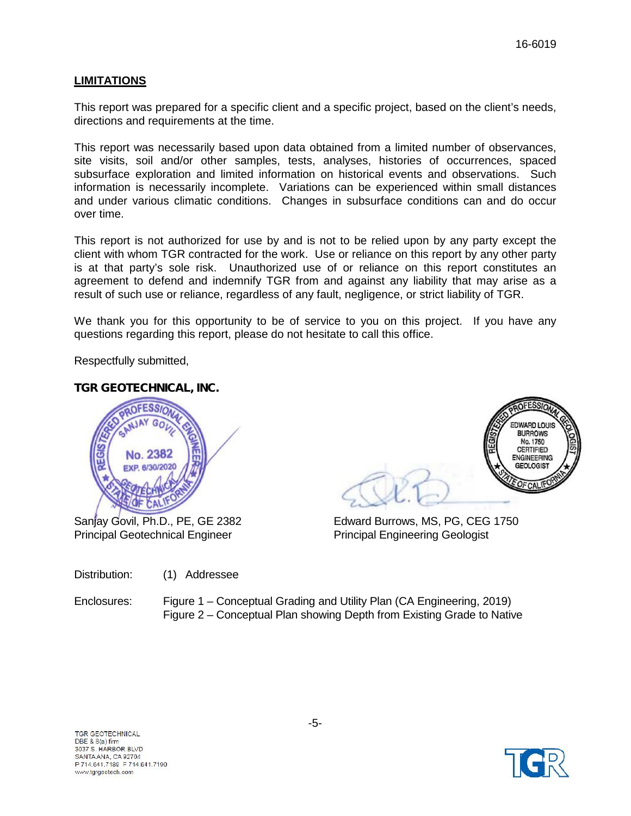# **LIMITATIONS**

This report was prepared for a specific client and a specific project, based on the client's needs, directions and requirements at the time.

This report was necessarily based upon data obtained from a limited number of observances, site visits, soil and/or other samples, tests, analyses, histories of occurrences, spaced subsurface exploration and limited information on historical events and observations. Such information is necessarily incomplete. Variations can be experienced within small distances and under various climatic conditions. Changes in subsurface conditions can and do occur over time.

This report is not authorized for use by and is not to be relied upon by any party except the client with whom TGR contracted for the work. Use or reliance on this report by any other party is at that party's sole risk. Unauthorized use of or reliance on this report constitutes an agreement to defend and indemnify TGR from and against any liability that may arise as a result of such use or reliance, regardless of any fault, negligence, or strict liability of TGR.

We thank you for this opportunity to be of service to you on this project. If you have any questions regarding this report, please do not hesitate to call this office.

Respectfully submitted,

# *TGR GEOTECHNICAL, INC.*



Principal Geotechnical Engineer Principal Engineering Geologist



Sanjay Govil, Ph.D., PE, GE 2382 Edward Burrows, MS, PG, CEG 1750

Distribution: (1) Addressee

Enclosures: Figure 1 – Conceptual Grading and Utility Plan (CA Engineering, 2019) Figure 2 – Conceptual Plan showing Depth from Existing Grade to Native

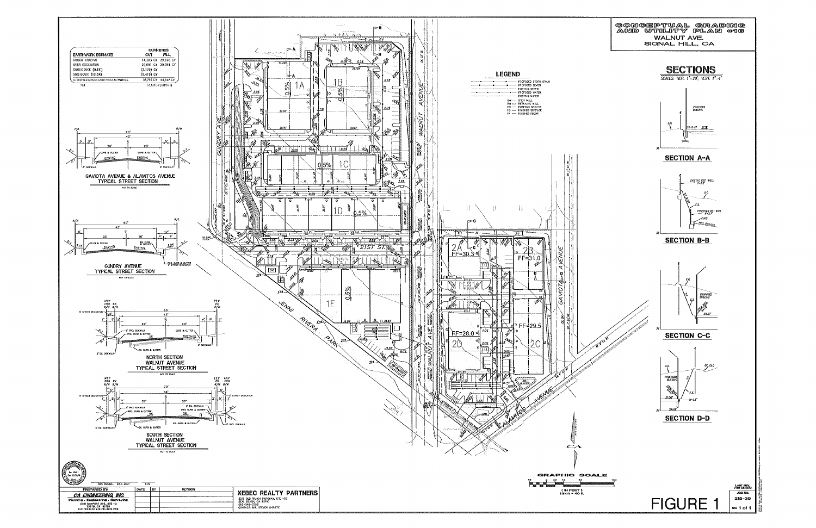